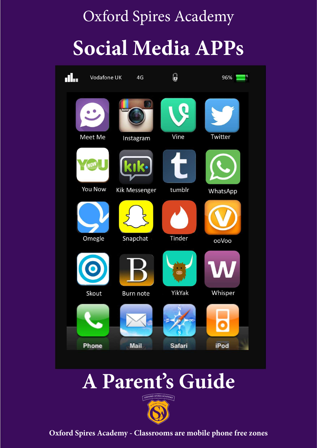## Oxford Spires Academy **Social Media APPs**



## **A Parent's Guide**



**Oxford Spires Academy - Classrooms are mobile phone free zones**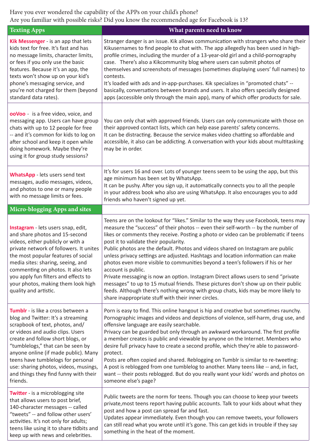Have you ever wondered the capability of the APPs on your child's phone? Are you familiar with possible risks? Did you know the recommended age for Facebook is 13?

| <b>Texting Apps</b>                                                                                                                                                                                                                                                                                                                                                                                   | What parents need to know                                                                                                                                                                                                                                                                                                                                                                                                                                                                                                                                                                                                                                                                                                                                                                                                                                                                                             |
|-------------------------------------------------------------------------------------------------------------------------------------------------------------------------------------------------------------------------------------------------------------------------------------------------------------------------------------------------------------------------------------------------------|-----------------------------------------------------------------------------------------------------------------------------------------------------------------------------------------------------------------------------------------------------------------------------------------------------------------------------------------------------------------------------------------------------------------------------------------------------------------------------------------------------------------------------------------------------------------------------------------------------------------------------------------------------------------------------------------------------------------------------------------------------------------------------------------------------------------------------------------------------------------------------------------------------------------------|
| Kik Messenger - is an app that lets<br>kids text for free. It's fast and has<br>no message limits, character limits,<br>or fees if you only use the basic<br>features. Because it's an app, the<br>texts won't show up on your kid's<br>phone's messaging service, and                                                                                                                                | Stranger danger is an issue. Kik allows communication with strangers who share their<br>Kikusernames to find people to chat with. The app allegedly has been used in high-<br>profile crimes, including the murder of a 13-year-old girl and a child-pornography<br>case. There's also a Kikcommunity blog where users can submit photos of<br>themselves and screenshots of messages (sometimes displaying users' full names) to<br>contests.<br>It's loaded with ads and in-app-purchases. Kik specializes in "promoted chats" --                                                                                                                                                                                                                                                                                                                                                                                   |
| you're not charged for them (beyond<br>standard data rates).                                                                                                                                                                                                                                                                                                                                          | basically, conversations between brands and users. It also offers specially designed<br>apps (accessible only through the main app), many of which offer products for sale.                                                                                                                                                                                                                                                                                                                                                                                                                                                                                                                                                                                                                                                                                                                                           |
| ooVoo - is a free video, voice, and<br>messaging app. Users can have group<br>chats with up to 12 people for free<br>-- and it's common for kids to log on<br>after school and keep it open while<br>doing homework. Maybe they're<br>using it for group study sessions?                                                                                                                              | You can only chat with approved friends. Users can only communicate with those on<br>their approved contact lists, which can help ease parents' safety concerns.<br>It can be distracting. Because the service makes video chatting so affordable and<br>accessible, it also can be addicting. A conversation with your kids about multitasking<br>may be in order.                                                                                                                                                                                                                                                                                                                                                                                                                                                                                                                                                   |
| WhatsApp - lets users send text<br>messages, audio messages, videos,<br>and photos to one or many people<br>with no message limits or fees.                                                                                                                                                                                                                                                           | It's for users 16 and over. Lots of younger teens seem to be using the app, but this<br>age minimum has been set by WhatsApp.<br>It can be pushy. After you sign up, it automatically connects you to all the people<br>in your address book who also are using WhatsApp. It also encourages you to add<br>friends who haven't signed up yet.                                                                                                                                                                                                                                                                                                                                                                                                                                                                                                                                                                         |
| Micro-blogging Apps and sites                                                                                                                                                                                                                                                                                                                                                                         |                                                                                                                                                                                                                                                                                                                                                                                                                                                                                                                                                                                                                                                                                                                                                                                                                                                                                                                       |
| Instagram - lets users snap, edit,<br>and share photos and 15-second<br>videos, either publicly or with a<br>private network of followers. It unites<br>the most popular features of social<br>media sites: sharing, seeing, and<br>commenting on photos. It also lets<br>you apply fun filters and effects to<br>your photos, making them look high<br>quality and artistic.                         | Teens are on the lookout for "likes." Similar to the way they use Facebook, teens may<br>measure the "success" of their photos -- even their self-worth -- by the number of<br>likes or comments they receive. Posting a photo or video can be problematic if teens<br>post it to validate their popularity.<br>Public photos are the default. Photos and videos shared on Instagram are public<br>unless privacy settings are adjusted. Hashtags and location information can make<br>photos even more visible to communities beyond a teen's followers if his or her<br>account is public.<br>Private messaging is now an option. Instagram Direct allows users to send "private<br>messages" to up to 15 mutual friends. These pictures don't show up on their public<br>feeds. Although there's nothing wrong with group chats, kids may be more likely to<br>share inappropriate stuff with their inner circles. |
| Tumblr - is like a cross between a<br>blog and Twitter: It's a streaming<br>scrapbook of text, photos, and/<br>or videos and audio clips. Users<br>create and follow short blogs, or<br>"tumblelogs," that can be seen by<br>anyone online (if made public). Many<br>teens have tumblelogs for personal<br>use: sharing photos, videos, musings,<br>and things they find funny with their<br>friends. | Porn is easy to find. This online hangout is hip and creative but sometimes raunchy.<br>Pornographic images and videos and depictions of violence, self-harm, drug use, and<br>offensive language are easily searchable.<br>Privacy can be guarded but only through an awkward workaround. The first profile<br>a member creates is public and viewable by anyone on the Internet. Members who<br>desire full privacy have to create a second profile, which they're able to password-<br>protect.<br>Posts are often copied and shared. Reblogging on Tumblr is similar to re-tweeting:<br>A post is reblogged from one tumblelog to another. Many teens like -- and, in fact,<br>want -- their posts reblogged. But do you really want your kids' words and photos on<br>someone else's page?                                                                                                                       |
| Twitter - is a microblogging site<br>that allows users to post brief,<br>140-character messages -- called<br>"tweets" -- and follow other users'<br>activities. It's not only for adults;<br>teens like using it to share tidbits and<br>keep up with news and celebrities.                                                                                                                           | Public tweets are the norm for teens. Though you can choose to keep your tweets<br>private, most teens report having public accounts. Talk to your kids about what they<br>post and how a post can spread far and fast.<br>Updates appear immediately. Even though you can remove tweets, your followers<br>can still read what you wrote until it's gone. This can get kids in trouble if they say<br>something in the heat of the moment.                                                                                                                                                                                                                                                                                                                                                                                                                                                                           |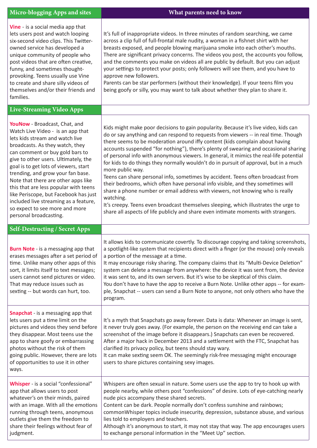| Micro-blogging Apps and sites                                                                                                                                                                                                                                                                                                                                                                                                                                                                                                   | What parents need to know                                                                                                                                                                                                                                                                                                                                                                                                                                                                                                                                                                                                                                                                                                                                                                                                                                                                                                                                                                                     |
|---------------------------------------------------------------------------------------------------------------------------------------------------------------------------------------------------------------------------------------------------------------------------------------------------------------------------------------------------------------------------------------------------------------------------------------------------------------------------------------------------------------------------------|---------------------------------------------------------------------------------------------------------------------------------------------------------------------------------------------------------------------------------------------------------------------------------------------------------------------------------------------------------------------------------------------------------------------------------------------------------------------------------------------------------------------------------------------------------------------------------------------------------------------------------------------------------------------------------------------------------------------------------------------------------------------------------------------------------------------------------------------------------------------------------------------------------------------------------------------------------------------------------------------------------------|
| Vine - is a social media app that<br>lets users post and watch looping<br>six-second video clips. This Twitter-<br>owned service has developed a<br>unique community of people who<br>post videos that are often creative,<br>funny, and sometimes thought-<br>provoking. Teens usually use Vine<br>to create and share silly videos of<br>themselves and/or their friends and<br>families.                                                                                                                                     | It's full of inappropriate videos. In three minutes of random searching, we came<br>across a clip full of full-frontal male nudity, a woman in a fishnet shirt with her<br>breasts exposed, and people blowing marijuana smoke into each other's mouths.<br>There are significant privacy concerns. The videos you post, the accounts you follow,<br>and the comments you make on videos all are public by default. But you can adjust<br>your settings to protect your posts; only followers will see them, and you have to<br>approve new followers.<br>Parents can be star performers (without their knowledge). If your teens film you<br>being goofy or silly, you may want to talk about whether they plan to share it.                                                                                                                                                                                                                                                                                 |
| <b>Live-Streaming Video Apps</b>                                                                                                                                                                                                                                                                                                                                                                                                                                                                                                |                                                                                                                                                                                                                                                                                                                                                                                                                                                                                                                                                                                                                                                                                                                                                                                                                                                                                                                                                                                                               |
| YouNow - Broadcast, Chat, and<br>Watch Live Video - is an app that<br>lets kids stream and watch live<br>broadcasts. As they watch, they<br>can comment or buy gold bars to<br>give to other users. Ultimately, the<br>goal is to get lots of viewers, start<br>trending, and grow your fan base.<br>Note that there are other apps like<br>this that are less popular with teens<br>like Periscope, but Facebook has just<br>included live streaming as a feature,<br>so expect to see more and more<br>personal broadcasting. | Kids might make poor decisions to gain popularity. Because it's live video, kids can<br>do or say anything and can respond to requests from viewers -- in real time. Though<br>there seems to be moderation around iffy content (kids complain about having<br>accounts suspended "for nothing"), there's plenty of swearing and occasional sharing<br>of personal info with anonymous viewers. In general, it mimics the real-life potential<br>for kids to do things they normally wouldn't do in pursuit of approval, but in a much<br>more public way.<br>Teens can share personal info, sometimes by accident. Teens often broadcast from<br>their bedrooms, which often have personal info visible, and they sometimes will<br>share a phone number or email address with viewers, not knowing who is really<br>watching.<br>It's creepy. Teens even broadcast themselves sleeping, which illustrates the urge to<br>share all aspects of life publicly and share even intimate moments with strangers. |
| <b>Self-Destructing / Secret Apps</b>                                                                                                                                                                                                                                                                                                                                                                                                                                                                                           |                                                                                                                                                                                                                                                                                                                                                                                                                                                                                                                                                                                                                                                                                                                                                                                                                                                                                                                                                                                                               |
| <b>Burn Note</b> - is a messaging app that<br>erases messages after a set period of<br>time. Unlike many other apps of this<br>sort, it limits itself to text messages;<br>users cannot send pictures or video.<br>That may reduce issues such as<br>sexting -- but words can hurt, too.                                                                                                                                                                                                                                        | It allows kids to communicate covertly. To discourage copying and taking screenshots,<br>a spotlight-like system that recipients direct with a finger (or the mouse) only reveals<br>a portion of the message at a time.<br>It may encourage risky sharing. The company claims that its "Multi-Device Deletion"<br>system can delete a message from anywhere: the device it was sent from, the device<br>it was sent to, and its own servers. But it's wise to be skeptical of this claim.<br>You don't have to have the app to receive a Burn Note. Unlike other apps -- for exam-<br>ple, Snapchat -- users can send a Burn Note to anyone, not only others who have the<br>program.                                                                                                                                                                                                                                                                                                                        |
| <b>Snapchat</b> - is a messaging app that<br>lets users put a time limit on the<br>pictures and videos they send before<br>they disappear. Most teens use the<br>app to share goofy or embarrassing<br>photos without the risk of them<br>going public. However, there are lots<br>of opportunities to use it in other<br>ways.                                                                                                                                                                                                 | It's a myth that Snapchats go away forever. Data is data: Whenever an image is sent,<br>it never truly goes away. (For example, the person on the receiving end can take a<br>screenshot of the image before it disappears.) Snapchats can even be recovered.<br>After a major hack in December 2013 and a settlement with the FTC, Snapchat has<br>clarified its privacy policy, but teens should stay wary.<br>It can make sexting seem OK. The seemingly risk-free messaging might encourage<br>users to share pictures containing sexy images.                                                                                                                                                                                                                                                                                                                                                                                                                                                            |
| Whisper - is a social "confessional"<br>app that allows users to post<br>whatever's on their minds, paired<br>with an image. With all the emotions<br>running through teens, anonymous<br>outlets give them the freedom to<br>share their feelings without fear of<br>judgment.                                                                                                                                                                                                                                                 | Whispers are often sexual in nature. Some users use the app to try to hook up with<br>people nearby, while others post "confessions" of desire. Lots of eye-catching nearly<br>nude pics accompany these shared secrets.<br>Content can be dark. People normally don't confess sunshine and rainbows;<br>commonWhisper topics include insecurity, depression, substance abuse, and various<br>lies told to employers and teachers.<br>Although it's anonymous to start, it may not stay that way. The app encourages users<br>to exchange personal information in the "Meet Up" section.                                                                                                                                                                                                                                                                                                                                                                                                                      |